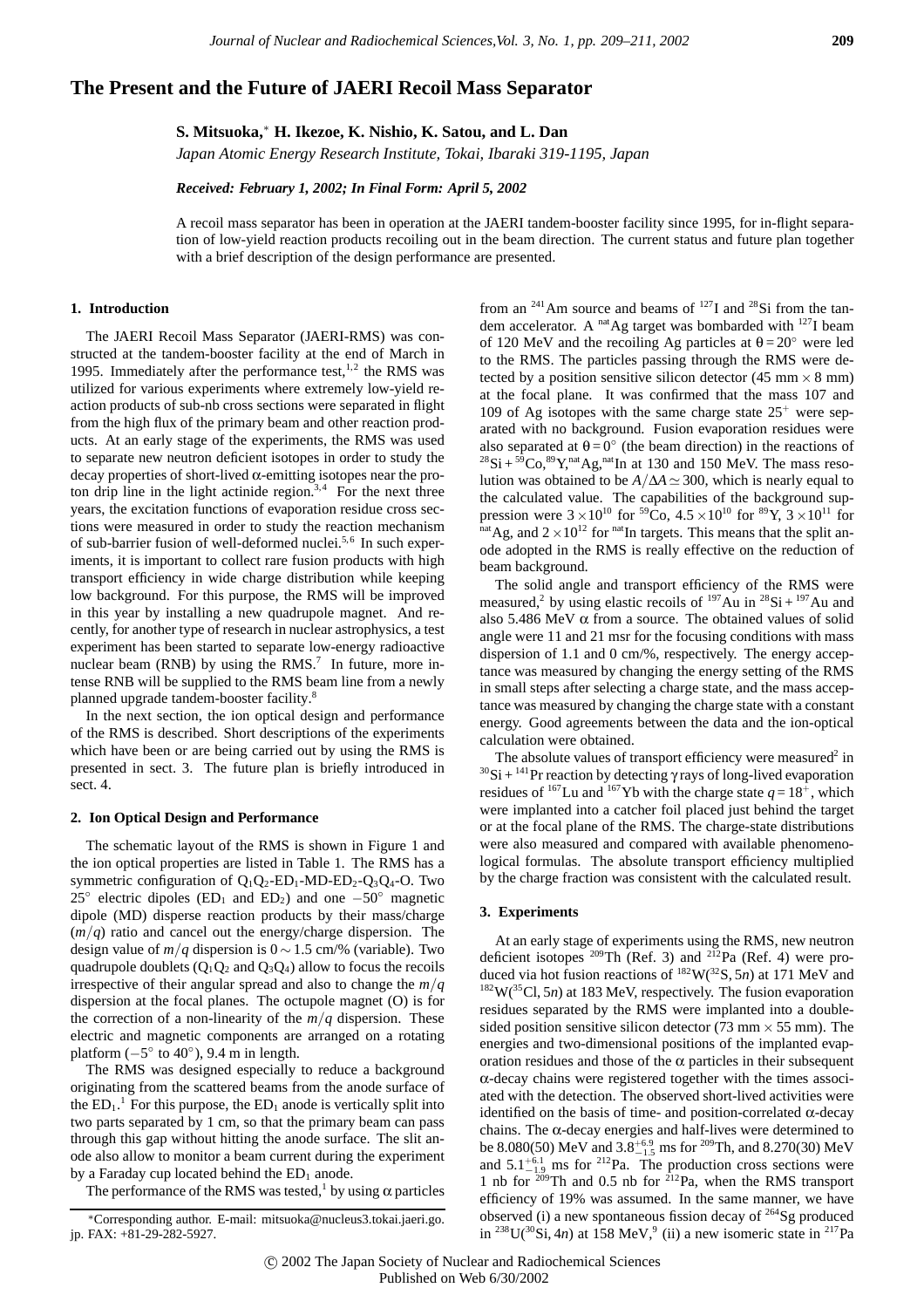# **The Present and the Future of JAERI Recoil Mass Separator**

**S. Mitsuoka,**<sup>∗</sup> **H. Ikezoe, K. Nishio, K. Satou, and L. Dan**

*Japan Atomic Energy Research Institute, Tokai, Ibaraki 319-1195, Japan*

*Received: February 1, 2002; In Final Form: April 5, 2002*

A recoil mass separator has been in operation at the JAERI tandem-booster facility since 1995, for in-flight separation of low-yield reaction products recoiling out in the beam direction. The current status and future plan together with a brief description of the design performance are presented.

#### **1. Introduction**

The JAERI Recoil Mass Separator (JAERI-RMS) was constructed at the tandem-booster facility at the end of March in 1995. Immediately after the performance test,  $1,2$  the RMS was utilized for various experiments where extremely low-yield reaction products of sub-nb cross sections were separated in flight from the high flux of the primary beam and other reaction products. At an early stage of the experiments, the RMS was used to separate new neutron deficient isotopes in order to study the decay properties of short-lived  $\alpha$ -emitting isotopes near the proton drip line in the light actinide region.<sup>3,4</sup> For the next three years, the excitation functions of evaporation residue cross sections were measured in order to study the reaction mechanism of sub-barrier fusion of well-deformed nuclei.<sup>5,6</sup> In such experiments, it is important to collect rare fusion products with high transport efficiency in wide charge distribution while keeping low background. For this purpose, the RMS will be improved in this year by installing a new quadrupole magnet. And recently, for another type of research in nuclear astrophysics, a test experiment has been started to separate low-energy radioactive nuclear beam (RNB) by using the RMS.<sup>7</sup> In future, more intense RNB will be supplied to the RMS beam line from a newly planned upgrade tandem-booster facility.8

In the next section, the ion optical design and performance of the RMS is described. Short descriptions of the experiments which have been or are being carried out by using the RMS is presented in sect. 3. The future plan is briefly introduced in sect. 4.

#### **2. Ion Optical Design and Performance**

The schematic layout of the RMS is shown in Figure 1 and the ion optical properties are listed in Table 1. The RMS has a symmetric configuration of  $O_1O_2$ -ED<sub>1</sub>-MD-ED<sub>2</sub>-O<sub>3</sub>O<sub>4</sub>-O. Two 25<sup>°</sup> electric dipoles (ED<sub>1</sub> and ED<sub>2</sub>) and one  $-50^\circ$  magnetic dipole (MD) disperse reaction products by their mass/charge  $(m/q)$  ratio and cancel out the energy/charge dispersion. The design value of  $m/q$  dispersion is  $0 \sim 1.5$  cm/% (variable). Two quadrupole doublets  $(Q_1Q_2 \text{ and } Q_3Q_4)$  allow to focus the recoils irrespective of their angular spread and also to change the *m/q* dispersion at the focal planes. The octupole magnet (O) is for the correction of a non-linearity of the  $m/q$  dispersion. These electric and magnetic components are arranged on a rotating platform  $(-5° \text{ to } 40°)$ , 9.4 m in length.

The RMS was designed especially to reduce a background originating from the scattered beams from the anode surface of the  $ED_1$ .<sup>1</sup> For this purpose, the  $ED_1$  anode is vertically split into two parts separated by 1 cm, so that the primary beam can pass through this gap without hitting the anode surface. The slit anode also allow to monitor a beam current during the experiment by a Faraday cup located behind the  $ED<sub>1</sub>$  anode.

The performance of the RMS was tested,<sup>1</sup> by using  $\alpha$  particles

from an  $^{241}$ Am source and beams of  $^{127}$ I and  $^{28}$ Si from the tandem accelerator. A <sup>nat</sup>Ag target was bombarded with <sup>127</sup>I beam of 120 MeV and the recoiling Ag particles at  $\theta = 20^\circ$  were led to the RMS. The particles passing through the RMS were detected by a position sensitive silicon detector (45 mm  $\times$  8 mm) at the focal plane. It was confirmed that the mass 107 and 109 of Ag isotopes with the same charge state  $25<sup>+</sup>$  were separated with no background. Fusion evaporation residues were also separated at  $\theta = 0^\circ$  (the beam direction) in the reactions of  $^{28}Si + ^{59}Co, ^{89}Y, ^{nat}Ag, ^{nat}In$  at 130 and 150 MeV. The mass resolution was obtained to be  $A/\Delta A \simeq 300$ , which is nearly equal to the calculated value. The capabilities of the background suppression were  $3 \times 10^{10}$  for <sup>59</sup>Co,  $4.5 \times 10^{10}$  for <sup>89</sup>Y,  $3 \times 10^{11}$  for natAg, and  $2 \times 10^{12}$  for <sup>nat</sup>In targets. This means that the split anode adopted in the RMS is really effective on the reduction of beam background.

The solid angle and transport efficiency of the RMS were measured,<sup>2</sup> by using elastic recoils of  $197$  Au in  $28$  Si +  $197$  Au and also 5.486 MeV  $\alpha$  from a source. The obtained values of solid angle were 11 and 21 msr for the focusing conditions with mass dispersion of 1.1 and 0 cm/%, respectively. The energy acceptance was measured by changing the energy setting of the RMS in small steps after selecting a charge state, and the mass acceptance was measured by changing the charge state with a constant energy. Good agreements between the data and the ion-optical calculation were obtained.

The absolute values of transport efficiency were measured<sup>2</sup> in  $30$ Si +  $141$ Pr reaction by detecting  $\gamma$  rays of long-lived evaporation residues of <sup>167</sup>Lu and <sup>167</sup>Yb with the charge state  $q = 18^+$ , which were implanted into a catcher foil placed just behind the target or at the focal plane of the RMS. The charge-state distributions were also measured and compared with available phenomenological formulas. The absolute transport efficiency multiplied by the charge fraction was consistent with the calculated result.

## **3. Experiments**

At an early stage of experiments using the RMS, new neutron deficient isotopes <sup>209</sup>Th (Ref. 3) and <sup>212</sup>Pa (Ref. 4) were produced via hot fusion reactions of  $^{182}$ W( $^{32}$ S, 5*n*) at 171 MeV and <sup>182</sup>W(<sup>35</sup>Cl, 5*n*) at 183 MeV, respectively. The fusion evaporation residues separated by the RMS were implanted into a doublesided position sensitive silicon detector (73 mm  $\times$  55 mm). The energies and two-dimensional positions of the implanted evaporation residues and those of the  $\alpha$  particles in their subsequent α-decay chains were registered together with the times associated with the detection. The observed short-lived activities were identified on the basis of time- and position-correlated α-decay chains. The α-decay energies and half-lives were determined to be 8.080(50) MeV and  $3.8^{+6.9}_{-1.5}$  ms for <sup>209</sup>Th, and 8.270(30) MeV<br>and  $5.1^{+6.1}_{-1.9}$  ms for <sup>212</sup>Pa. The production cross sections were 1 nb for  $209$ Th and 0.5 nb for  $212$ Pa, when the RMS transport efficiency of 19% was assumed. In the same manner, we have observed (i) a new spontaneous fission decay of  $^{264}$ Sg produced in <sup>238</sup>U(<sup>30</sup>Si, 4*n*) at 158 MeV,<sup>9</sup> (ii) a new isomeric state in <sup>217</sup>Pa

<sup>∗</sup>Corresponding author. E-mail: mitsuoka@nucleus3.tokai.jaeri.go. jp. FAX: +81-29-282-5927.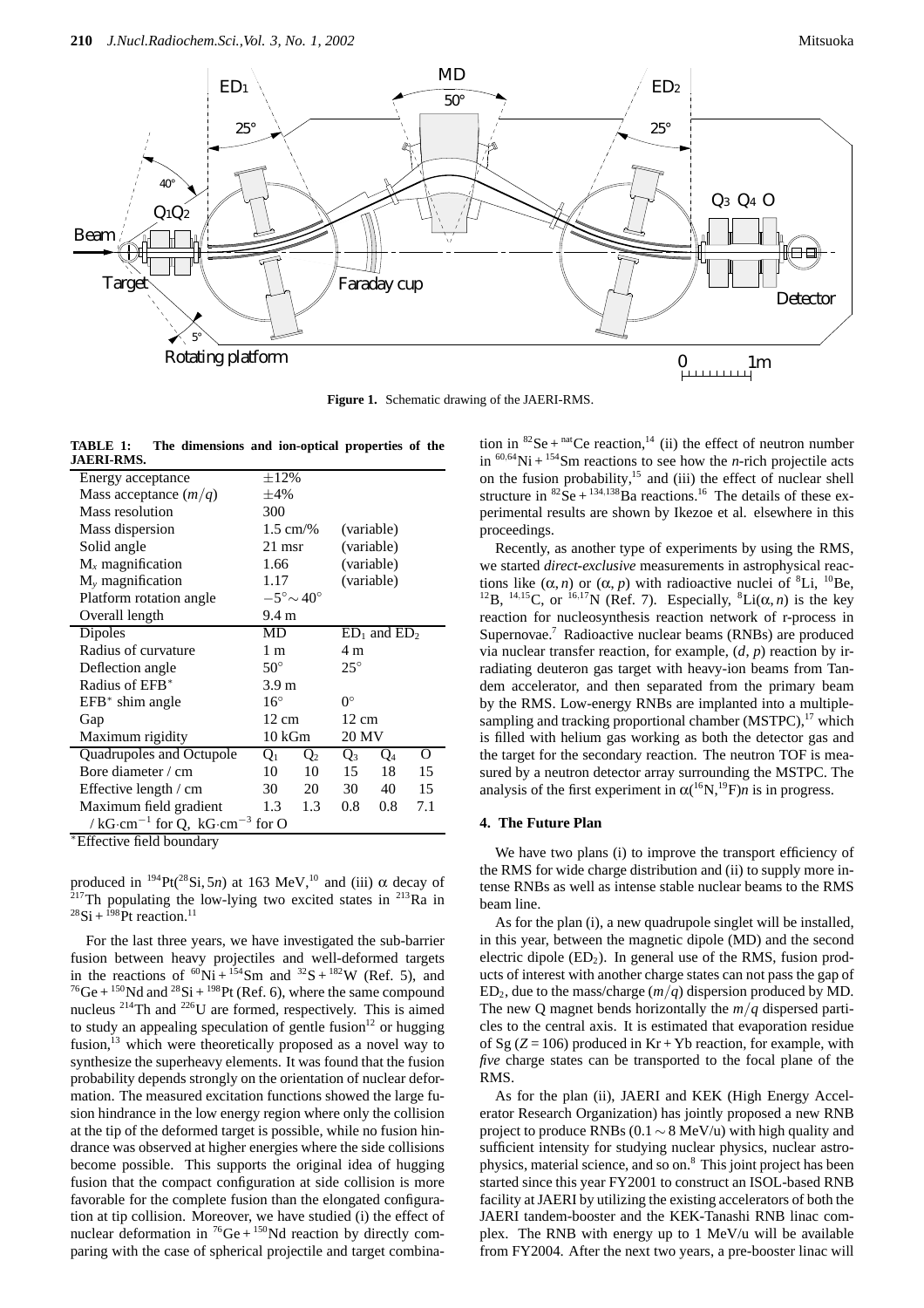

**Figure 1.** Schematic drawing of the JAERI-RMS.

| TABLE 1:          | The dimensions and ion-optical properties of the |  |  |  |
|-------------------|--------------------------------------------------|--|--|--|
| <b>JAERI-RMS.</b> |                                                  |  |  |  |

| Energy acceptance                                    | $\pm 12\%$          |                              |            |                   |     |  |  |  |  |
|------------------------------------------------------|---------------------|------------------------------|------------|-------------------|-----|--|--|--|--|
| Mass acceptance $(m/q)$                              | $\pm 4\%$           |                              |            |                   |     |  |  |  |  |
| Mass resolution                                      | 300                 |                              |            |                   |     |  |  |  |  |
| Mass dispersion                                      | $1.5 \text{ cm}/\%$ |                              |            | (variable)        |     |  |  |  |  |
| Solid angle                                          | $21$ msr            |                              | (variable) |                   |     |  |  |  |  |
| $M_{x}$ magnification                                | 1.66                |                              |            | (variable)        |     |  |  |  |  |
| $M_{v}$ magnification                                | 1.17                |                              | (variable) |                   |     |  |  |  |  |
| Platform rotation angle                              |                     | $-5^{\circ} \sim 40^{\circ}$ |            |                   |     |  |  |  |  |
| Overall length                                       |                     | 9.4 <sub>m</sub>             |            |                   |     |  |  |  |  |
| Dipoles                                              | MD                  |                              |            | $ED_1$ and $ED_2$ |     |  |  |  |  |
| Radius of curvature                                  | 1 m                 |                              |            | 4 m               |     |  |  |  |  |
| Deflection angle                                     | $50^{\circ}$        |                              |            | $25^{\circ}$      |     |  |  |  |  |
| Radius of EFB <sup>*</sup>                           | 3.9 <sub>m</sub>    |                              |            |                   |     |  |  |  |  |
| $EFB*$ shim angle                                    | $16^{\circ}$        |                              |            | $0^{\circ}$       |     |  |  |  |  |
| Gap                                                  | $12 \text{ cm}$     |                              | 12 cm      |                   |     |  |  |  |  |
| Maximum rigidity                                     | 10 kGm              |                              | 20 MV      |                   |     |  |  |  |  |
| Quadrupoles and Octupole                             | $Q_1$               | $Q_2$                        | $Q_3$      | Q <sub>4</sub>    | О   |  |  |  |  |
| Bore diameter / cm                                   | 10                  | 10                           | 15         | 18                | 15  |  |  |  |  |
| Effective length / cm                                | 30                  | 20                           | 30         | 40                | 15  |  |  |  |  |
| Maximum field gradient                               | 1.3                 | 1.3                          | 0.8        | 0.8               | 7.1 |  |  |  |  |
| / $kG \cdot cm^{-1}$ for Q, $kG \cdot cm^{-3}$ for O |                     |                              |            |                   |     |  |  |  |  |

\*Effective field boundary

produced in  $^{194}$ Pt( $^{28}$ Si, 5*n*) at 163 MeV,<sup>10</sup> and (iii)  $\alpha$  decay of  $2^{17}$ Th populating the low-lying two excited states in  $2^{13}$ Ra in  $^{28}$ Si +  $^{198}$ Pt reaction.<sup>11</sup>

For the last three years, we have investigated the sub-barrier fusion between heavy projectiles and well-deformed targets in the reactions of  ${}^{60}\text{Ni} + {}^{154}\text{Sm}$  and  ${}^{32}\text{S} + {}^{182}\text{W}$  (Ref. 5), and  $^{76}$ Ge +  $^{150}$ Nd and  $^{28}$ Si +  $^{198}$ Pt (Ref. 6), where the same compound nucleus  $^{214}$ Th and  $^{226}$ U are formed, respectively. This is aimed to study an appealing speculation of gentle fusion $12$  or hugging fusion, $13$  which were theoretically proposed as a novel way to synthesize the superheavy elements. It was found that the fusion probability depends strongly on the orientation of nuclear deformation. The measured excitation functions showed the large fusion hindrance in the low energy region where only the collision at the tip of the deformed target is possible, while no fusion hindrance was observed at higher energies where the side collisions become possible. This supports the original idea of hugging fusion that the compact configuration at side collision is more favorable for the complete fusion than the elongated configuration at tip collision. Moreover, we have studied (i) the effect of nuclear deformation in  ${}^{76}Ge + {}^{150}Nd$  reaction by directly comparing with the case of spherical projectile and target combination in  ${}^{82}$ Se +  ${}^{nat}$ Ce reaction,<sup>14</sup> (ii) the effect of neutron number in  ${}^{60,64}$ Ni +  ${}^{154}$ Sm reactions to see how the *n*-rich projectile acts on the fusion probability,<sup>15</sup> and (iii) the effect of nuclear shell structure in  ${}^{82}$ Se +  ${}^{134,138}$ Ba reactions.<sup>16</sup> The details of these experimental results are shown by Ikezoe et al. elsewhere in this proceedings.

Recently, as another type of experiments by using the RMS, we started *direct-exclusive* measurements in astrophysical reactions like  $(\alpha, n)$  or  $(\alpha, p)$  with radioactive nuclei of <sup>8</sup>Li, <sup>10</sup>Be, <sup>12</sup>B, <sup>14,15</sup>C, or <sup>16,17</sup>N (Ref. 7). Especially, <sup>8</sup>Li(α, *n*) is the key reaction for nucleosynthesis reaction network of r-process in Supernovae.<sup>7</sup> Radioactive nuclear beams (RNBs) are produced via nuclear transfer reaction, for example, (*d*, *p*) reaction by irradiating deuteron gas target with heavy-ion beams from Tandem accelerator, and then separated from the primary beam by the RMS. Low-energy RNBs are implanted into a multiplesampling and tracking proportional chamber (MSTPC),<sup>17</sup> which is filled with helium gas working as both the detector gas and the target for the secondary reaction. The neutron TOF is measured by a neutron detector array surrounding the MSTPC. The analysis of the first experiment in  $\alpha(^{16}N, ^{19}F)n$  is in progress.

### **4. The Future Plan**

We have two plans (i) to improve the transport efficiency of the RMS for wide charge distribution and (ii) to supply more intense RNBs as well as intense stable nuclear beams to the RMS beam line.

As for the plan (i), a new quadrupole singlet will be installed, in this year, between the magnetic dipole (MD) and the second electric dipole  $(ED<sub>2</sub>)$ . In general use of the RMS, fusion products of interest with another charge states can not pass the gap of  $ED<sub>2</sub>$ , due to the mass/charge  $(m/q)$  dispersion produced by MD. The new Q magnet bends horizontally the *m/q* dispersed particles to the central axis. It is estimated that evaporation residue of Sg  $(Z = 106)$  produced in Kr + Yb reaction, for example, with *five* charge states can be transported to the focal plane of the RMS.

As for the plan (ii), JAERI and KEK (High Energy Accelerator Research Organization) has jointly proposed a new RNB project to produce RNBs (0.1  $\sim$  8 MeV/u) with high quality and sufficient intensity for studying nuclear physics, nuclear astrophysics, material science, and so on.8 This joint project has been started since this year FY2001 to construct an ISOL-based RNB facility at JAERI by utilizing the existing accelerators of both the JAERI tandem-booster and the KEK-Tanashi RNB linac complex. The RNB with energy up to 1 MeV/u will be available from FY2004. After the next two years, a pre-booster linac will